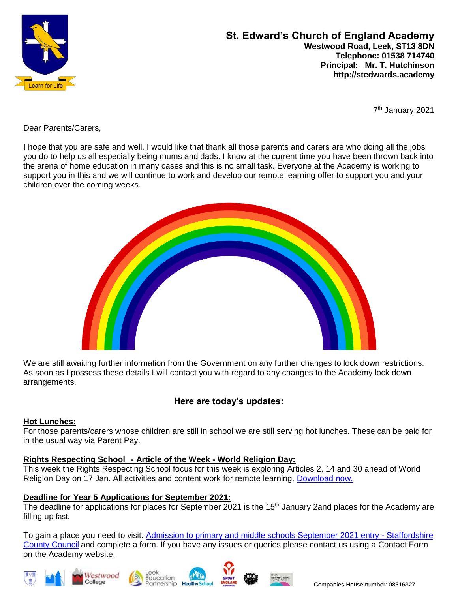

## **St. Edward's Church of England Academy Westwood Road, Leek, ST13 8DN Telephone: 01538 714740 Principal: Mr. T. Hutchinson http://stedwards.academy**

7 th January 2021

Dear Parents/Carers,

I hope that you are safe and well. I would like that thank all those parents and carers are who doing all the jobs you do to help us all especially being mums and dads. I know at the current time you have been thrown back into the arena of home education in many cases and this is no small task. Everyone at the Academy is working to support you in this and we will continue to work and develop our remote learning offer to support you and your children over the coming weeks.



We are still awaiting further information from the Government on any further changes to lock down restrictions. As soon as I possess these details I will contact you with regard to any changes to the Academy lock down arrangements.

# **Here are today's updates:**

### **Hot Lunches:**

For those parents/carers whose children are still in school we are still serving hot lunches. These can be paid for in the usual way via Parent Pay.

## **Rights Respecting School - Article of the Week - World Religion Day:**

This week the Rights Respecting School focus for this week is exploring Articles 2, 14 and 30 ahead of World Religion Day on 17 Jan. All activities and content work for remote learning. [Download now.](https://www.unicef.org.uk/rights-respecting-schools/wp-content/uploads/sites/4/2021/01/Article-of-the-Week_World-Relgion-Day_FINAL_070121.pptx)

### **Deadline for Year 5 Applications for September 2021:**

The deadline for applications for places for September 2021 is the 15<sup>th</sup> January 2and places for the Academy are filling up fast.

To gain a place you need to visit: [Admission to primary and middle schools September 2021 entry -](https://www.staffordshire.gov.uk/Education/Admissions-primary/Apply/Overview.aspx) Staffordshire [County Council](https://www.staffordshire.gov.uk/Education/Admissions-primary/Apply/Overview.aspx) and complete a form. If you have any issues or queries please contact us using a Contact Form on the Academy website.